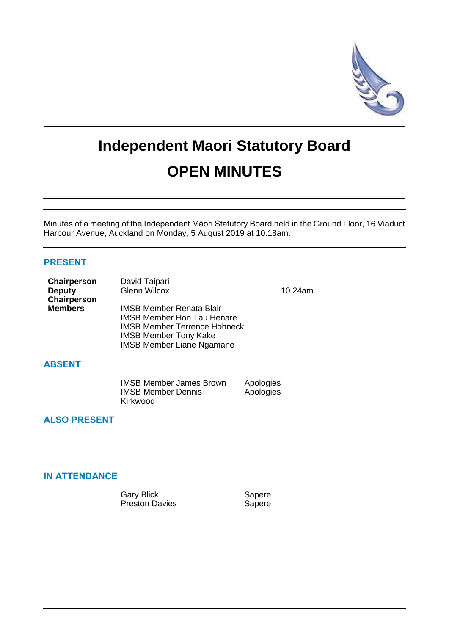

# **Independent Maori Statutory Board OPEN MINUTES**

Minutes of a meeting of the Independent Māori Statutory Board held in the Ground Floor, 16 Viaduct Harbour Avenue, Auckland on Monday, 5 August 2019 at 10.18am.

## **PRESENT**

| Chairperson    | David Taipari                       |         |
|----------------|-------------------------------------|---------|
| <b>Deputy</b>  | <b>Glenn Wilcox</b>                 | 10.24am |
| Chairperson    |                                     |         |
| <b>Members</b> | <b>IMSB Member Renata Blair</b>     |         |
|                | <b>IMSB Member Hon Tau Henare</b>   |         |
|                | <b>IMSB Member Terrence Hohneck</b> |         |
|                | <b>IMSB Member Tony Kake</b>        |         |
|                | <b>IMSB Member Liane Ngamane</b>    |         |

## **ABSENT**

| <b>IMSB Member James Brown</b> | Apologies |
|--------------------------------|-----------|
| <b>IMSB Member Dennis</b>      | Apologies |
| Kirkwood                       |           |

# **ALSO PRESENT**

# **IN ATTENDANCE**

Gary Blick Sapere Preston Davies **Sapere**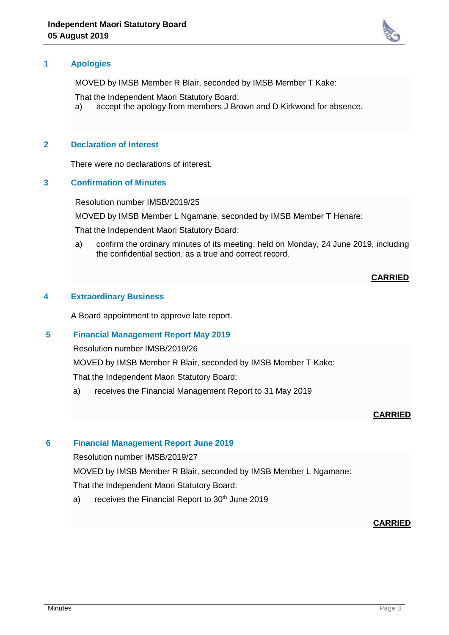

# **1 Apologies**

MOVED by IMSB Member R Blair, seconded by IMSB Member T Kake:

That the Independent Maori Statutory Board:

a) accept the apology from members J Brown and D Kirkwood for absence.

# **2 Declaration of Interest**

There were no declarations of interest.

#### **3 Confirmation of Minutes**

Resolution number IMSB/2019/25

MOVED by IMSB Member L Ngamane, seconded by IMSB Member T Henare:

That the Independent Maori Statutory Board:

a) confirm the ordinary minutes of its meeting, held on Monday, 24 June 2019, including the confidential section, as a true and correct record.

## **CARRIED**

## **4 Extraordinary Business**

A Board appointment to approve late report.

## **5 Financial Management Report May 2019**

Resolution number IMSB/2019/26

MOVED by IMSB Member R Blair, seconded by IMSB Member T Kake:

That the Independent Maori Statutory Board:

a) receives the Financial Management Report to 31 May 2019

## **CARRIED**

## **6 Financial Management Report June 2019**

Resolution number IMSB/2019/27

MOVED by IMSB Member R Blair, seconded by IMSB Member L Ngamane:

That the Independent Maori Statutory Board:

a) receives the Financial Report to  $30<sup>th</sup>$  June 2019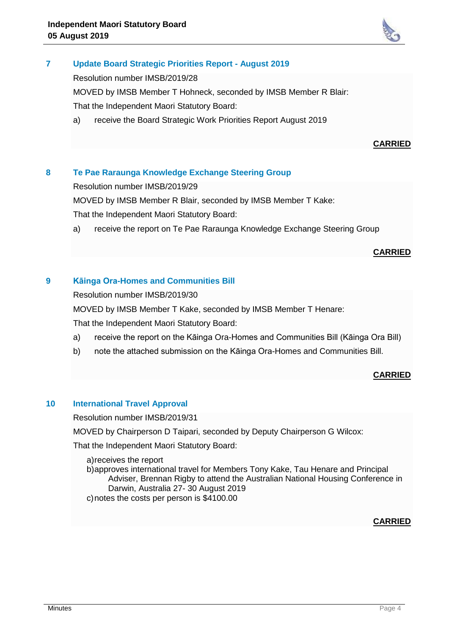

# **7 Update Board Strategic Priorities Report - August 2019**

Resolution number IMSB/2019/28

MOVED by IMSB Member T Hohneck, seconded by IMSB Member R Blair: That the Independent Maori Statutory Board:

a) receive the Board Strategic Work Priorities Report August 2019

## **CARRIED**

# **8 Te Pae Raraunga Knowledge Exchange Steering Group**

Resolution number IMSB/2019/29

MOVED by IMSB Member R Blair, seconded by IMSB Member T Kake:

That the Independent Maori Statutory Board:

a) receive the report on Te Pae Raraunga Knowledge Exchange Steering Group

#### **CARRIED**

## **9 Kāinga Ora-Homes and Communities Bill**

Resolution number IMSB/2019/30

MOVED by IMSB Member T Kake, seconded by IMSB Member T Henare:

That the Independent Maori Statutory Board:

- a) receive the report on the Kāinga Ora-Homes and Communities Bill (Kāinga Ora Bill)
- b) note the attached submission on the Kāinga Ora-Homes and Communities Bill.

## **CARRIED**

#### **10 International Travel Approval**

Resolution number IMSB/2019/31

MOVED by Chairperson D Taipari, seconded by Deputy Chairperson G Wilcox:

That the Independent Maori Statutory Board:

a)receives the report

b)approves international travel for Members Tony Kake, Tau Henare and Principal Adviser, Brennan Rigby to attend the Australian National Housing Conference in Darwin, Australia 27- 30 August 2019 c)notes the costs per person is \$4100.00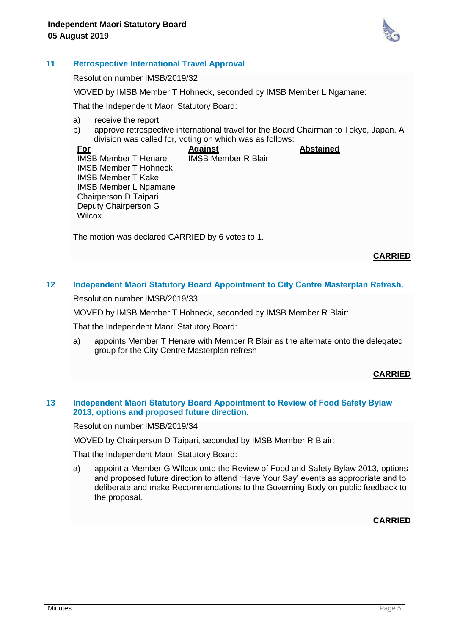

#### **11 Retrospective International Travel Approval**

Resolution number IMSB/2019/32

MOVED by IMSB Member T Hohneck, seconded by IMSB Member L Ngamane:

That the Independent Maori Statutory Board:

- a) receive the report
- b) approve retrospective international travel for the Board Chairman to Tokyo, Japan. A division was called for, voting on which was as follows:

**For** IMSB Member T Henare IMSB Member T Hohneck IMSB Member T Kake IMSB Member L Ngamane Chairperson D Taipari Deputy Chairperson G **Wilcox Against** IMSB Member R Blair **Abstained**

The motion was declared CARRIED by 6 votes to 1.

#### **CARRIED**

# **12 Independent Māori Statutory Board Appointment to City Centre Masterplan Refresh.**

Resolution number IMSB/2019/33

MOVED by IMSB Member T Hohneck, seconded by IMSB Member R Blair:

That the Independent Maori Statutory Board:

a) appoints Member T Henare with Member R Blair as the alternate onto the delegated group for the City Centre Masterplan refresh

#### **CARRIED**

#### **13 Independent Māori Statutory Board Appointment to Review of Food Safety Bylaw 2013, options and proposed future direction.**

Resolution number IMSB/2019/34

MOVED by Chairperson D Taipari, seconded by IMSB Member R Blair:

That the Independent Maori Statutory Board:

a) appoint a Member G WIlcox onto the Review of Food and Safety Bylaw 2013, options and proposed future direction to attend 'Have Your Say' events as appropriate and to deliberate and make Recommendations to the Governing Body on public feedback to the proposal.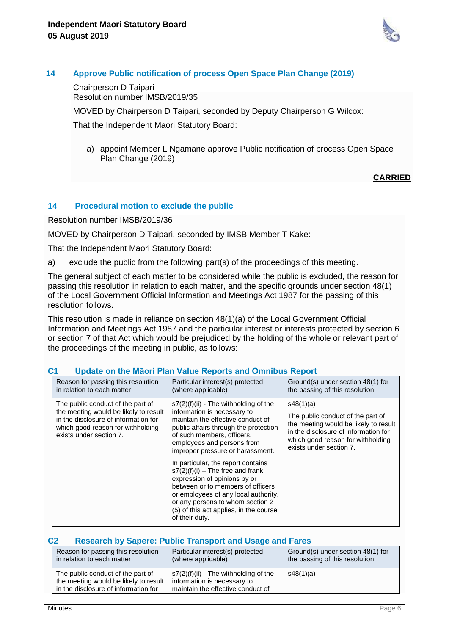

## **14 Approve Public notification of process Open Space Plan Change (2019)**

Chairperson D Taipari Resolution number IMSB/2019/35

MOVED by Chairperson D Taipari, seconded by Deputy Chairperson G Wilcox:

That the Independent Maori Statutory Board:

a) appoint Member L Ngamane approve Public notification of process Open Space Plan Change (2019)

## **CARRIED**

# **14 Procedural motion to exclude the public**

Resolution number IMSB/2019/36

MOVED by Chairperson D Taipari, seconded by IMSB Member T Kake:

That the Independent Maori Statutory Board:

a) exclude the public from the following part(s) of the proceedings of this meeting.

The general subject of each matter to be considered while the public is excluded, the reason for passing this resolution in relation to each matter, and the specific grounds under section 48(1) of the Local Government Official Information and Meetings Act 1987 for the passing of this resolution follows.

This resolution is made in reliance on section 48(1)(a) of the Local Government Official Information and Meetings Act 1987 and the particular interest or interests protected by section 6 or section 7 of that Act which would be prejudiced by the holding of the whole or relevant part of the proceedings of the meeting in public, as follows:

| Reason for passing this resolution<br>in relation to each matter                                                                                                                   | Particular interest(s) protected<br>(where applicable)                                                                                                                                                                                                                                | Ground(s) under section 48(1) for<br>the passing of this resolution                                                                                                                             |
|------------------------------------------------------------------------------------------------------------------------------------------------------------------------------------|---------------------------------------------------------------------------------------------------------------------------------------------------------------------------------------------------------------------------------------------------------------------------------------|-------------------------------------------------------------------------------------------------------------------------------------------------------------------------------------------------|
| The public conduct of the part of<br>the meeting would be likely to result<br>in the disclosure of information for<br>which good reason for withholding<br>exists under section 7. | $s7(2)(f)(ii)$ - The withholding of the<br>information is necessary to<br>maintain the effective conduct of<br>public affairs through the protection<br>of such members, officers,<br>employees and persons from<br>improper pressure or harassment.                                  | s48(1)(a)<br>The public conduct of the part of<br>the meeting would be likely to result<br>in the disclosure of information for<br>which good reason for withholding<br>exists under section 7. |
|                                                                                                                                                                                    | In particular, the report contains<br>$s7(2)(f)(i)$ – The free and frank<br>expression of opinions by or<br>between or to members of officers<br>or employees of any local authority,<br>or any persons to whom section 2<br>(5) of this act applies, in the course<br>of their duty. |                                                                                                                                                                                                 |

#### **C1 Update on the Māori Plan Value Reports and Omnibus Report**

#### **C2 Research by Sapere: Public Transport and Usage and Fares**

| Reason for passing this resolution                                                                                 | Particular interest(s) protected                                                                            | Ground(s) under section 48(1) for |
|--------------------------------------------------------------------------------------------------------------------|-------------------------------------------------------------------------------------------------------------|-----------------------------------|
| in relation to each matter                                                                                         | (where applicable)                                                                                          | the passing of this resolution    |
| The public conduct of the part of<br>the meeting would be likely to result<br>in the disclosure of information for | $s7(2)(f)(ii)$ - The withholding of the<br>information is necessary to<br>maintain the effective conduct of | s48(1)(a)                         |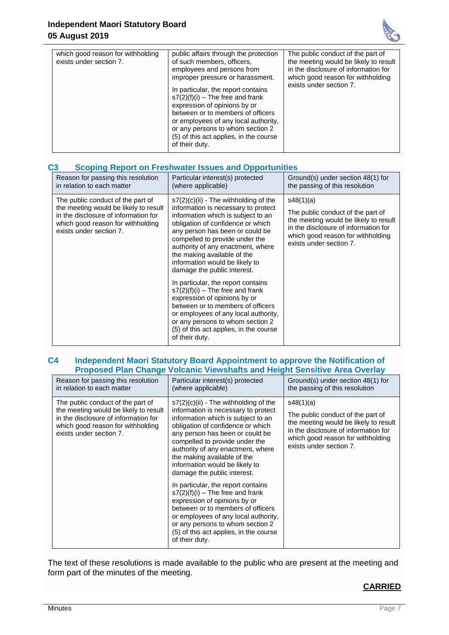

| which good reason for withholding<br>exists under section 7. | public affairs through the protection<br>of such members, officers,<br>employees and persons from<br>improper pressure or harassment.<br>In particular, the report contains<br>$s7(2)(f)(i)$ – The free and frank<br>expression of opinions by or<br>between or to members of officers<br>or employees of any local authority,<br>or any persons to whom section 2<br>(5) of this act applies, in the course<br>of their duty. | The public conduct of the part of<br>the meeting would be likely to result<br>in the disclosure of information for<br>which good reason for withholding<br>exists under section 7. |
|--------------------------------------------------------------|--------------------------------------------------------------------------------------------------------------------------------------------------------------------------------------------------------------------------------------------------------------------------------------------------------------------------------------------------------------------------------------------------------------------------------|------------------------------------------------------------------------------------------------------------------------------------------------------------------------------------|

## **C3 Scoping Report on Freshwater Issues and Opportunities**

| Reason for passing this resolution                                                                                                                                                 | Particular interest(s) protected                                                                                                                                                                                                                                                                                                                                                                                                                                                                                                                                                                                                                             | Ground(s) under section 48(1) for                                                                                                                                                               |
|------------------------------------------------------------------------------------------------------------------------------------------------------------------------------------|--------------------------------------------------------------------------------------------------------------------------------------------------------------------------------------------------------------------------------------------------------------------------------------------------------------------------------------------------------------------------------------------------------------------------------------------------------------------------------------------------------------------------------------------------------------------------------------------------------------------------------------------------------------|-------------------------------------------------------------------------------------------------------------------------------------------------------------------------------------------------|
| in relation to each matter                                                                                                                                                         | (where applicable)                                                                                                                                                                                                                                                                                                                                                                                                                                                                                                                                                                                                                                           | the passing of this resolution                                                                                                                                                                  |
| The public conduct of the part of<br>the meeting would be likely to result<br>in the disclosure of information for<br>which good reason for withholding<br>exists under section 7. | $s7(2)(c)(ii)$ - The withholding of the<br>information is necessary to protect<br>information which is subject to an<br>obligation of confidence or which<br>any person has been or could be<br>compelled to provide under the<br>authority of any enactment, where<br>the making available of the<br>information would be likely to<br>damage the public interest.<br>In particular, the report contains<br>$s7(2)(f)(i)$ – The free and frank<br>expression of opinions by or<br>between or to members of officers<br>or employees of any local authority,<br>or any persons to whom section 2<br>(5) of this act applies, in the course<br>of their duty. | s48(1)(a)<br>The public conduct of the part of<br>the meeting would be likely to result<br>in the disclosure of information for<br>which good reason for withholding<br>exists under section 7. |

## **C4 Independent Maori Statutory Board Appointment to approve the Notification of Proposed Plan Change Volcanic Viewshafts and Height Sensitive Area Overlay**

| Reason for passing this resolution                                                                                                                                                 | Particular interest(s) protected                                                                                                                                                                                                                                                                                                                                                                                                                                                                                                                                                                                                                             | Ground(s) under section 48(1) for                                                                                                                                                               |
|------------------------------------------------------------------------------------------------------------------------------------------------------------------------------------|--------------------------------------------------------------------------------------------------------------------------------------------------------------------------------------------------------------------------------------------------------------------------------------------------------------------------------------------------------------------------------------------------------------------------------------------------------------------------------------------------------------------------------------------------------------------------------------------------------------------------------------------------------------|-------------------------------------------------------------------------------------------------------------------------------------------------------------------------------------------------|
| in relation to each matter                                                                                                                                                         | (where applicable)                                                                                                                                                                                                                                                                                                                                                                                                                                                                                                                                                                                                                                           | the passing of this resolution                                                                                                                                                                  |
| The public conduct of the part of<br>the meeting would be likely to result<br>in the disclosure of information for<br>which good reason for withholding<br>exists under section 7. | $s7(2)(c)(ii)$ - The withholding of the<br>information is necessary to protect<br>information which is subject to an<br>obligation of confidence or which<br>any person has been or could be<br>compelled to provide under the<br>authority of any enactment, where<br>the making available of the<br>information would be likely to<br>damage the public interest.<br>In particular, the report contains<br>$s7(2)(f)(i)$ – The free and frank<br>expression of opinions by or<br>between or to members of officers<br>or employees of any local authority,<br>or any persons to whom section 2<br>(5) of this act applies, in the course<br>of their duty. | s48(1)(a)<br>The public conduct of the part of<br>the meeting would be likely to result<br>in the disclosure of information for<br>which good reason for withholding<br>exists under section 7. |

The text of these resolutions is made available to the public who are present at the meeting and form part of the minutes of the meeting.